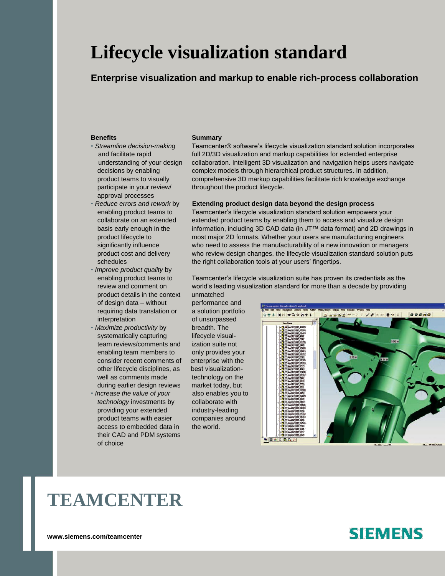# **Lifecycle visualization standard**

## **Enterprise visualization and markup to enable rich-process collaboration**

- approval processes
- 
- *Improve product quality* by product details in the context unmatched of design data – without performance and requiring data translation or a solution portfolio interpretation of unsurpassed
- *Maximize productivity* by breadth. The systematically capturing lifecycle visualteam reviews/comments and ization suite not enabling team members to only provides your consider recent comments of enterprise with the other lifecycle disciplines, as best visualizationwell as comments made technology on the during earlier design reviews market today, but
- *Increase the value of your* also enables you to *technology* investments by collaborate with providing your extended industry-leading product teams with easier companies around access to embedded data in the world. their CAD and PDM systems of choice

#### **Benefits Summary**

• *Streamline decision-making* Teamcenter® software's lifecycle visualization standard solution incorporates and facilitate rapid full 2D/3D visualization and markup capabilities for extended enterprise understanding of your design collaboration. Intelligent 3D visualization and navigation helps users navigate decisions by enabling complex models through hierarchical product structures. In addition, product teams to visually comprehensive 3D markup capabilities facilitate rich knowledge exchange participate in your review/ throughout the product lifecycle.

### • *Reduce errors and rework* by **Extending product design data beyond the design process**

enabling product teams to Teamcenter's lifecycle visualization standard solution empowers your collaborate on an extended extended product teams by enabling them to access and visualize design basis early enough in the information, including 3D CAD data (in JT™ data format) and 2D drawings in product lifecycle to most major 2D formats. Whether your users are manufacturing engineers significantly influence who need to assess the manufacturability of a new innovation or managers product cost and delivery who review design changes, the lifecycle visualization standard solution puts schedules the right collaboration tools at your users' fingertips.

enabling product teams to Teamcenter's lifecycle visualization suite has proven its credentials as the review and comment on world's leading visualization standard for more than a decade by providing



# **TEAMCENTER**

## **SIEMENS**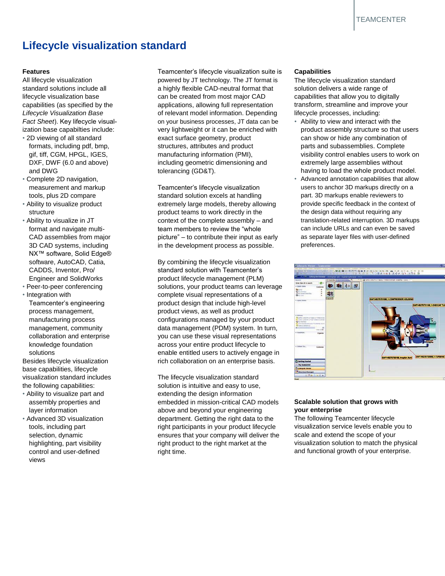## **Lifecycle visualization standard**

- and DWG tolerancing (GD&T).
- Complete 2D navigation,
- 
- NX<sup>™</sup> software, Solid Edge®
- 

base capabilities, lifecycle

- 
- control and user-defined right time. views

**Features** Teamcenter's lifecycle visualization suite is All lifecycle visualization powered by JT technology. The JT format is standard solutions include all a highly flexible CAD-neutral format that lifecycle visualization base can be created from most major CAD capabilities (as specified by the applications, allowing full representation *Lifecycle Visualization Base* of relevant model information. Depending *Fact Sheet*). Key lifecycle visual-<br>
on your business processes, JT data can be ization base capabilties include: very lightweight or it can be enriched with • 2D viewing of all standard exact surface geometry, product formats, including pdf, bmp, structures, attributes and product gif, tiff, CGM, HPGL, IGES, manufacturing information (PMI), DXF, DWF (6.0 and above) including geometric dimensioning and

measurement and markup Teamcenter's lifecycle visualization tools, plus 2D compare standard solution excels at handling • Ability to visualize product extremely large models, thereby allowing structure **product teams to work directly in the** • Ability to visualize in JT context of the complete assembly – and format and navigate multi-<br>team members to review the "whole" CAD assemblies from major picture" – to contribute their input as early 3D CAD systems, including in the development process as possible.

software, AutoCAD, Catia, By combining the lifecycle visualization CADDS, Inventor, Pro/ standard solution with Teamcenter's Engineer and SolidWorks product lifecycle management (PLM) • Peer-to-peer conferencing solutions, your product teams can leverage • Integration with complete visual representations of a Teamcenter's engineering product design that include high-level process management, product views, as well as product manufacturing process configurations managed by your product management, community data management (PDM) system. In turn, collaboration and enterprise you can use these visual representations knowledge foundation across your entire product lifecycle to solutions enable entitled users to actively engage in Besides lifecycle visualization rich collaboration on an enterprise basis.

visualization standard includes The lifecycle visualization standard the following capabilities: solution is intuitive and easy to use, • Ability to visualize part and extending the design information assembly properties and embedded in mission-critical CAD models layer information above and beyond your engineering • Advanced 3D visualization department. Getting the right data to the tools, including part right participants in your product lifecycle selection, dynamic ensures that your company will deliver the highlighting, part visibility right product to the right market at the

### **Capabilities**

The lifecycle visualization standard solution delivers a wide range of capabilities that allow you to digitally transform, streamline and improve your lifecycle processes, including:

- Ability to view and interact with the product assembly structure so that users can show or hide any combination of parts and subassemblies. Complete visibility control enables users to work on extremely large assemblies without having to load the whole product model.
- Advanced annotation capabilities that allow users to anchor 3D markups directly on a part. 3D markups enable reviewers to provide specific feedback in the context of the design data without requiring any translation-related interruption. 3D markups can include URLs and can even be saved as separate layer files with user-defined preferences.



## **Scalable solution that grows with your enterprise**

The following Teamcenter lifecycle visualization service levels enable you to scale and extend the scope of your visualization solution to match the physical and functional growth of your enterprise.